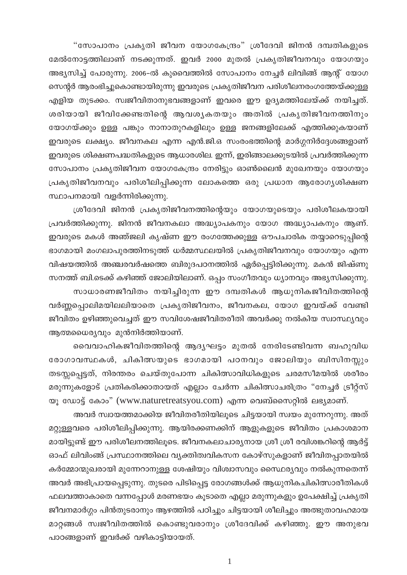"സോപാനം പ്രകൃതി ജീവന യോഗകേന്ദ്രം" ശ്രീദേവി ജിനൻ ദമ്പതികളുടെ മേൽനോട്ടത്തിലാണ് നടക്കുന്നത്. ഇവർ 2000 മുതൽ പ്രകൃതിജീവനവും യോഗയും അഭ്യസിച്ച് പോരുന്നു. 2006–ൽ കുവൈത്തിൽ സോപാനം നേച്ചർ ലിവിങ്ങ് ആന്റ് യോഗ സെന്റർ ആരംഭിച്ചുകൊണ്ടായിരുന്നു ഇവരുടെ പ്രകൃതിജീവന പരിശീലനരംഗത്തേയ്ക്കുള്ള എളിയ തുടക്കം. സ്വജീവിതാനുഭവങ്ങളാണ് ഇവരെ ഈ ഉദ്യമത്തിലേയ്ക്ക് നയിച്ചത്. ശരിയായി ജീവിക്കേണ്ടതിന്റെ ആവശ്യകതയും അതിൽ പ്രകൃതിജീവനത്തിനും യോഗയ്ക്കും ഉള്ള പങ്കും നാനാതുറകളിലും ഉള്ള ജനങ്ങളിലേക്ക് എത്തിക്കുകയാണ് ഇവരുടെ ലക്ഷ്യം. ജീവനകല എന്ന എൻ.ജി.ഒ സംരംഭത്തിന്റെ മാർഗ്ഗനിർദ്ദേശങ്ങളാണ് ഇവരുടെ ശിക്ഷണപദ്ധതികളുടെ ആധാരശില. ഇന്ന്, ഇരിങ്ങാലക്കുടയിൽ പ്രവർത്തിക്കുന്ന സോപാനം പ്രകൃതിജീവന യോഗകേന്ദ്രം നേരിട്ടും ഓൺലൈൻ മുഖേനയും യോഗയും പ്രകൃതിജീവനവും പരിശീലിപ്പിക്കുന്ന ലോകത്തെ ഒരു പ്രധാന ആരോഗൃശിക്ഷണ സ്ഥാപനമായി വളർന്നിരിക്കുന്നു.

ശ്രീദേവി ജിനൻ പ്രകൃതിജീവനത്തിന്റെയും യോഗയുടെയും പരിശീലകയായി പ്രവർത്തിക്കുന്നു. ജിനൻ ജീവനകലാ അദ്ധ്യാപകനും യോഗ അദ്ധ്യാപകനും ആണ്. ഇവരുടെ മകൾ അഞ്ജലി കൃഷ്ണ ഈ രംഗത്തേക്കുള്ള ഔപചാരിക തയ്യാറെടുപ്പിന്റെ ഭാഗമായി മംഗലാപുരത്തിനടുത്ത് ധർമ്മസ്ഥലയിൽ പ്രകൃതിജീവനവും യോഗയും എന്ന വിഷയത്തിൽ അഞ്ചരവർഷത്തെ ബിരുദപഠനത്തിൽ ഏർപ്പെട്ടിരിക്കുന്നു. മകൻ ജിഷ്ണു സനത്ത് ബി.ടെക്ക് കഴിഞ്ഞ് ജോലിയിലാണ്. ഒപ്പം സംഗീതവും ധ്യാനവും അഭ്യസിക്കുന്നു. സാധാരണജീവിതം നയിച്ചിരുന്ന ഈ ദമ്പതികൾ ആധുനികജീവിതത്തിന്റെ വർണ്ണപ്പൊലിമയിലലിയാതെ പ്രകൃതിജീവനം, ജീവനകല, യോഗ ഇവയ്ക്ക് വേണ്ടി ജീവിതം ഉഴിഞ്ഞുവെച്ചത് ഈ സവിശേഷജീവിതരീതി അവർക്കു നൽകിയ സ്വാസ്ഥ്യവും ആത്മധൈര്യവും മുൻനിർത്തിയാണ്.

വൈവാഹികജീവിതത്തിന്റെ ആദൃഘട്ടം മുതൽ നേരിടേണ്ടിവന്ന ബഹുവിധ രോഗാവസ്ഥകൾ, ചികിത്സയുടെ ഭാഗമായി പഠനവും ജോലിയും ബിസിനസ്സും തടസ്സപ്പെട്ടത്, നിരന്തരം ചെയ്തുപോന്ന ചികിത്സാവിധികളുടെ ചരമസീമയിൽ ശരീരം മരുന്നുകളോട് പ്രതികരിക്കാതായത് എല്ലാം ചേർന്ന ചികിത്സാചരിത്രം "നേച്ചർ ട്രീറ്റ്സ് യു ഡോട്ട് കോം" (www.naturetreatsyou.com) എന്ന വെബ്സൈറ്റിൽ ലഭ്യമാണ്.

അവർ സ്വായത്തമാക്കിയ ജീവിതരീതിയിലൂടെ ചിട്ടയായി സ്വയം മുന്നേറുന്നു. അത് മറ്റുള്ളവരെ പരിശീലിപ്പിക്കുന്നു. ആയിരക്കണക്കിന് ആളുകളുടെ ജീവിതം പ്രകാശമാന മായിട്ടുണ്ട് ഈ പരിശീലനത്തിലൂടെ. ജീവനകലാചാര്യനായ ശ്രീ ശ്രീ രവിശങ്കറിന്റെ ആർട്ട് ഓഫ് ലിവിംങ്ങ് പ്രസ്ഥാനത്തിലെ വൃക്തിത്വവികസന കോഴ്സുകളാണ് ജീവിതപ്പാതയിൽ കർമ്മോന്മുഖരായി മുന്നേറാനുള്ള ശേഷിയും വിശ്വാസവും സൈഥര്യവും നൽകുന്നതെന്ന് അവർ അഭിപ്രായപ്പെടുന്നു. തുടരെ പിടിപ്പെട്ട രോഗങ്ങൾക്ക് ആധുനികചികിത്സാരീതികൾ ഫലവത്താകാതെ വന്നപ്പോൾ മരണഭയം കൂടാതെ എല്ലാ മരുന്നുകളും ഉപേക്ഷിച്ച് പ്രകൃതി ജീവനമാർഗ്ഗം പിൻതുടരാനും ആഴത്തിൽ പഠിച്ചും ചിട്ടയായി ശീലിച്ചും അത്ഭുതാവഹമായ മാറ്റങ്ങൾ സ്വജീവിതത്തിൽ കൊണ്ടുവരാനും ശ്രീദേവിക്ക് കഴിഞ്ഞു. ഈ അനുഭവ പാഠങ്ങളാണ് ഇവർക്ക് വഴികാട്ടിയായത്.

 $\mathbf{1}$